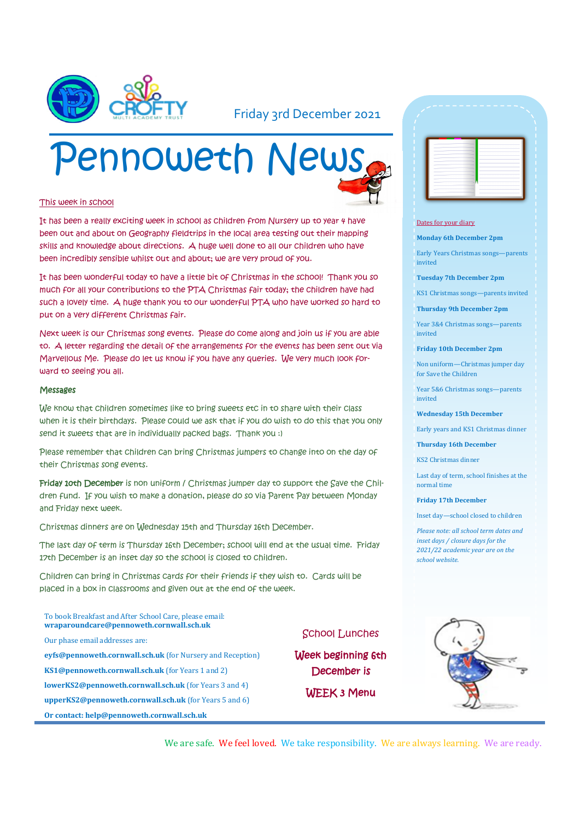

#### Friday 3rd December 2021

# Pennoweth News

#### This week in school

It has been a really exciting week in school as children from Nursery up to year 4 have been out and about on Geography fieldtrips in the local area testing out their mapping skills and knowledge about directions. A huge well done to all our children who have been incredibly sensible whilst out and about; we are very proud of you.

It has been wonderful today to have a little bit of Christmas in the school! Thank you so much for all your contributions to the PTA Christmas fair today; the children have had such a lovely time. A huge thank you to our wonderful PTA who have worked so hard to put on a very different Christmas fair.

Next week is our Christmas song events. Please do come along and join us if you are able to. A letter regarding the detail of the arrangements for the events has been sent out via Marvellous Me. Please do let us know if you have any queries. We very much look forward to seeing you all.

#### Messages

We know that children sometimes like to bring sweets etc in to share with their class when it is their birthdays. Please could we ask that if you do wish to do this that you only send it sweets that are in individually packed bags. Thank you :)

Please remember that children can bring Christmas jumpers to change into on the day of their Christmas song events.

Friday 10th December is non uniform / Christmas jumper day to support the Save the Children fund. If you wish to make a donation, please do so via Parent Pay between Monday and Friday next week.

Christmas dinners are on Wednesday 15th and Thursday 16th December.

The last day of term is Thursday 16th December; school will end at the usual time. Friday 17th December is an inset day so the school is closed to children.

Children can bring in Christmas cards for their friends if they wish to. Cards will be placed in a box in classrooms and given out at the end of the week.

To book Breakfast and After School Care, please email: **wraparoundcare@pennoweth.cornwall.sch.uk**

Our phase email addresses are:

**eyfs@pennoweth.cornwall.sch.uk** (for Nursery and Reception) **KS1@pennoweth.cornwall.sch.uk** (for Years 1 and 2)

**lowerKS2@pennoweth.cornwall.sch.uk** (for Years 3 and 4)

**upperKS2@pennoweth.cornwall.sch.uk** (for Years 5 and 6)

**Or contact: help@pennoweth.cornwall.sch.uk**



#### Dates for your diary

**Monday 6th December 2pm**

Early Years Christmas songs—parents invited

**Tuesday 7th December 2pm**

KS1 Christmas songs—parents invited

**Thursday 9th December 2pm**

Year 3&4 Christmas songs—parents invited

**Friday 10th December 2pm**

Non uniform—Christmas jumper day for Save the Children

Year 5&6 Christmas songs—parents invited

**Wednesday 15th December**

Early years and KS1 Christmas dinner

**Thursday 16th December**

KS2 Christmas dinner

Last day of term, school finishes at the normal time

**Friday 17th December**

Inset day—school closed to children

*Please note: all school term dates and inset days / closure days for the 2021/22 academic year are on the school website.* 



We are safe. We feel loved. We take responsibility. We are always learning. We are ready.

School Lunches

Week beginning 6th December is

WEEK 3 Menu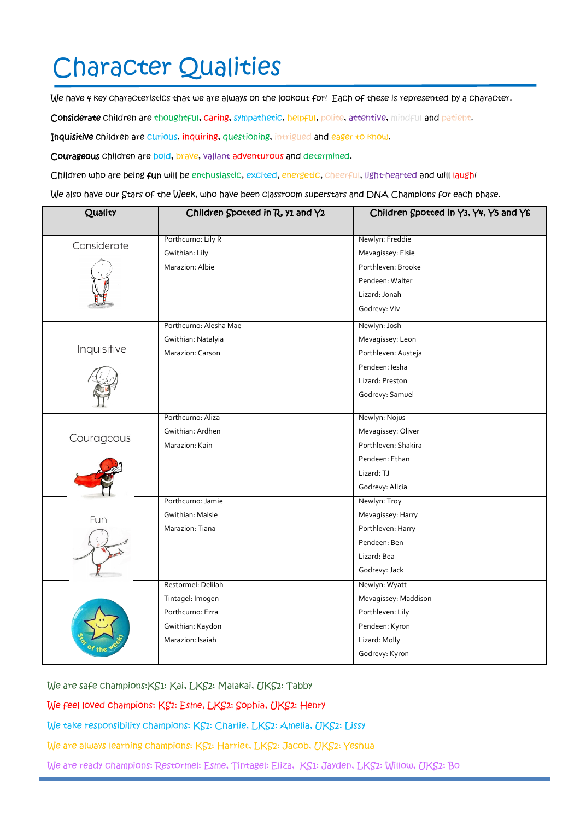## Character Qualities

We have 4 key characteristics that we are always on the lookout for! Each of these is represented by a character.

Considerate children are thoughtful, caring, sympathetic, helpful, polite, attentive, mindful and patient.

Inquisitive children are curious, inquiring, questioning, intrigued and eager to know.

Courageous children are bold, brave, valiant adventurous and determined.

Children who are being fun will be enthusiastic, excited, energetic, cheerful, light-hearted and will laugh!

We also have our Stars of the Week, who have been classroom superstars and DNA Champions for each phase.

| Quality     | Children Spotted in R, y1 and Y2 | Children Spotted in Y3, Y4, Y5 and Y6 |
|-------------|----------------------------------|---------------------------------------|
| Considerate | Porthcurno: Lily R               | Newlyn: Freddie                       |
|             | Gwithian: Lily                   | Mevagissey: Elsie                     |
|             | Marazion: Albie                  | Porthleven: Brooke                    |
|             |                                  | Pendeen: Walter                       |
|             |                                  | Lizard: Jonah                         |
|             |                                  | Godrevy: Viv                          |
| Inquisitive | Porthcurno: Alesha Mae           | Newlyn: Josh                          |
|             | Gwithian: Natalyia               | Mevagissey: Leon                      |
|             | Marazion: Carson                 | Porthleven: Austeja                   |
|             |                                  | Pendeen: Iesha                        |
|             |                                  | Lizard: Preston                       |
|             |                                  | Godrevy: Samuel                       |
| Courageous  | Porthcurno: Aliza                | Newlyn: Nojus                         |
|             | Gwithian: Ardhen                 | Mevagissey: Oliver                    |
|             | Marazion: Kain                   | Porthleven: Shakira                   |
|             |                                  | Pendeen: Ethan                        |
|             |                                  | Lizard: TJ                            |
|             |                                  | Godrevy: Alicia                       |
|             | Porthcurno: Jamie                | Newlyn: Troy                          |
| Fun         | Gwithian: Maisie                 | Mevagissey: Harry                     |
|             | Marazion: Tiana                  | Porthleven: Harry                     |
|             |                                  | Pendeen: Ben                          |
|             |                                  | Lizard: Bea                           |
|             |                                  | Godrevy: Jack                         |
|             | Restormel: Delilah               | Newlyn: Wyatt                         |
|             | Tintagel: Imogen                 | Mevagissey: Maddison                  |
|             | Porthcurno: Ezra                 | Porthleven: Lily                      |
|             | Gwithian: Kaydon                 | Pendeen: Kyron                        |
|             | Marazion: Isaiah                 | Lizard: Molly                         |
|             |                                  | Godrevy: Kyron                        |

We are safe champions:KS1: Kai, LKS2: Malakai, UKS2: Tabby

We feel loved champions: KS1: Esme, LKS2: Sophia, UKS2: Henry

We take responsibility champions: KS1: Charlie, LKS2: Amelia, UKS2: Lissy

We are always learning champions: KS1: Harriet, LKS2: Jacob, UKS2: Yeshua

We are ready champions: Restormel: Esme, Tintagel: Eliza, KS1: Jayden, LKS2: Willow, UKS2: Bo